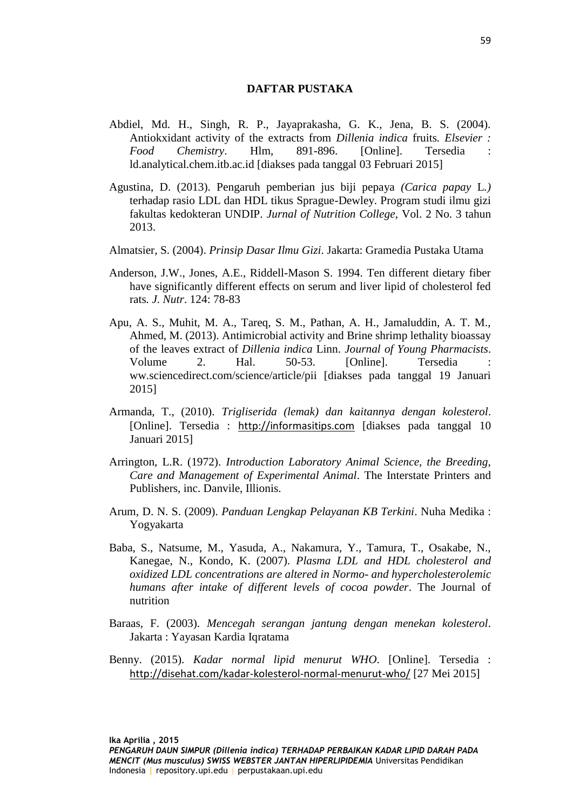## **DAFTAR PUSTAKA**

- Abdiel, Md. H., Singh, R. P., Jayaprakasha, G. K., Jena, B. S. (2004). Antiokxidant activity of the extracts from *Dillenia indica* fruits*. Elsevier : Food Chemistry*. Hlm, 891-896. [Online]. Tersedia : ld.analytical.chem.itb.ac.id [diakses pada tanggal 03 Februari 2015]
- Agustina, D. (2013). Pengaruh pemberian jus biji pepaya *(Carica papay* L*.)*  terhadap rasio LDL dan HDL tikus Sprague-Dewley. Program studi ilmu gizi fakultas kedokteran UNDIP. *Jurnal of Nutrition College*, Vol. 2 No. 3 tahun 2013.
- Almatsier, S. (2004). *Prinsip Dasar Ilmu Gizi*. Jakarta: Gramedia Pustaka Utama
- Anderson, J.W., Jones, A.E., Riddell-Mason S. 1994. Ten different dietary fiber have significantly different effects on serum and liver lipid of cholesterol fed rats*. J. Nutr*. 124: 78-83
- Apu, A. S., Muhit, M. A., Tareq, S. M., Pathan, A. H., Jamaluddin, A. T. M., Ahmed, M. (2013). Antimicrobial activity and Brine shrimp lethality bioassay of the leaves extract of *Dillenia indica* Linn. *Journal of Young Pharmacists*. Volume 2. Hal. 50-53. [Online]. Tersedia ww.sciencedirect.com/science/article/pii [diakses pada tanggal 19 Januari 2015]
- Armanda, T., (2010). *Trigliserida (lemak) dan kaitannya dengan kolesterol*. [Online]. Tersedia : [http://informasitips.com](http://informasitips.com/) [diakses pada tanggal 10 Januari 2015]
- Arrington, L.R. (1972). *Introduction Laboratory Animal Science, the Breeding, Care and Management of Experimental Animal*. The Interstate Printers and Publishers, inc. Danvile, Illionis.
- Arum, D. N. S. (2009). *Panduan Lengkap Pelayanan KB Terkini*. Nuha Medika : Yogyakarta
- Baba, S., Natsume, M., Yasuda, A., Nakamura, Y., Tamura, T., Osakabe, N., Kanegae, N., Kondo, K. (2007). *Plasma LDL and HDL cholesterol and oxidized LDL concentrations are altered in Normo- and hypercholesterolemic humans after intake of different levels of cocoa powder*. The Journal of nutrition
- Baraas, F. (2003). *Mencegah serangan jantung dengan menekan kolesterol*. Jakarta : Yayasan Kardia Iqratama
- Benny. (2015). *Kadar normal lipid menurut WHO*. [Online]. Tersedia : <http://disehat.com/kadar-kolesterol-normal-menurut-who/> [27 Mei 2015]

**Ika Aprilia , 2015**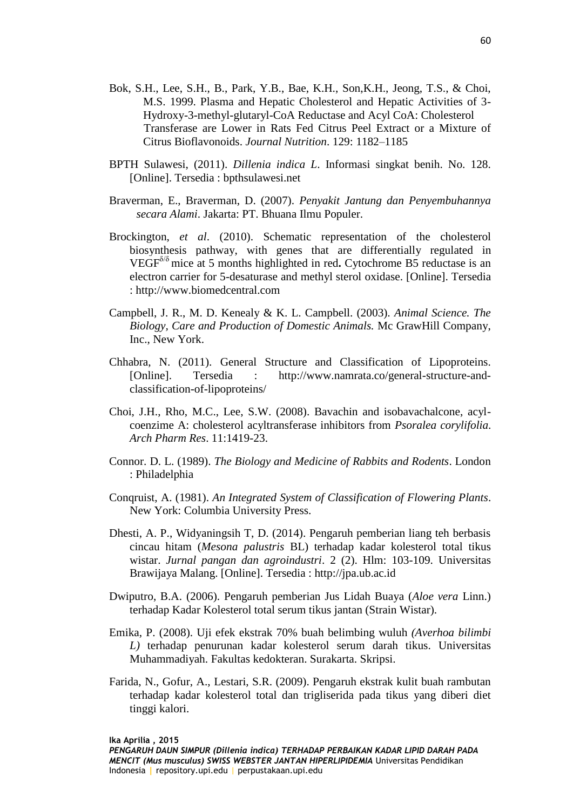- Bok, S.H., Lee, S.H., B., Park, Y.B., Bae, K.H., Son,K.H., Jeong, T.S., & Choi, M.S. 1999. Plasma and Hepatic Cholesterol and Hepatic Activities of 3- Hydroxy-3-methyl-glutaryl-CoA Reductase and Acyl CoA: Cholesterol Transferase are Lower in Rats Fed Citrus Peel Extract or a Mixture of Citrus Bioflavonoids. *Journal Nutrition*. 129: 1182–1185
- BPTH Sulawesi, (2011). *Dillenia indica L*. Informasi singkat benih. No. 128. [Online]. Tersedia : bpthsulawesi.net
- Braverman, E., Braverman, D. (2007). *Penyakit Jantung dan Penyembuhannya secara Alami*. Jakarta: PT. Bhuana Ilmu Populer.
- Brockington, *et al*. (2010). Schematic representation of the cholesterol biosynthesis pathway, with genes that are differentially regulated in VEGFδ/δ mice at 5 months highlighted in red**.** Cytochrome B5 reductase is an electron carrier for 5-desaturase and methyl sterol oxidase. [Online]. Tersedia : http://www.biomedcentral.com
- Campbell, J. R., M. D. Kenealy & K. L. Campbell. (2003). *Animal Science. The Biology, Care and Production of Domestic Animals.* Mc GrawHill Company, Inc., New York.
- Chhabra, N. (2011). General Structure and Classification of Lipoproteins. [Online]. Tersedia : http://www.namrata.co/general-structure-andclassification-of-lipoproteins/
- Choi, J.H., Rho, M.C., Lee, S.W. (2008). Bavachin and isobavachalcone, acylcoenzime A: cholesterol acyltransferase inhibitors from *Psoralea corylifolia*. *Arch Pharm Res*. 11:1419-23.
- Connor. D. L. (1989). *The Biology and Medicine of Rabbits and Rodents*. London : Philadelphia
- Conqruist, A. (1981). *An Integrated System of Classification of Flowering Plants*. New York: Columbia University Press.
- Dhesti, A. P., Widyaningsih T, D. (2014). Pengaruh pemberian liang teh berbasis cincau hitam (*Mesona palustris* BL) terhadap kadar kolesterol total tikus wistar. *Jurnal pangan dan agroindustri*. 2 (2). Hlm: 103-109. Universitas Brawijaya Malang. [Online]. Tersedia : http://jpa.ub.ac.id
- Dwiputro, B.A. (2006). Pengaruh pemberian Jus Lidah Buaya (*Aloe vera* Linn.) terhadap Kadar Kolesterol total serum tikus jantan (Strain Wistar).
- Emika, P. (2008). Uji efek ekstrak 70% buah belimbing wuluh *(Averhoa bilimbi L)* terhadap penurunan kadar kolesterol serum darah tikus. Universitas Muhammadiyah. Fakultas kedokteran. Surakarta. Skripsi.
- Farida, N., Gofur, A., Lestari, S.R. (2009). Pengaruh ekstrak kulit buah rambutan terhadap kadar kolesterol total dan trigliserida pada tikus yang diberi diet tinggi kalori.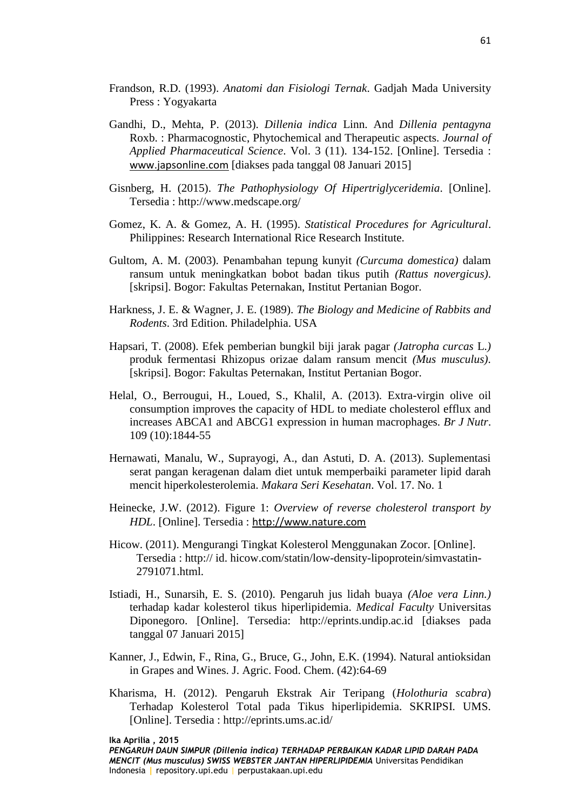- Frandson, R.D. (1993). *Anatomi dan Fisiologi Ternak*. Gadjah Mada University Press : Yogyakarta
- Gandhi, D., Mehta, P. (2013). *Dillenia indica* Linn. And *Dillenia pentagyna*  Roxb. : Pharmacognostic, Phytochemical and Therapeutic aspects. *Journal of Applied Pharmaceutical Science*. Vol. 3 (11). 134-152. [Online]. Tersedia : [www.japsonline.com](http://www.japsonline.com/) [diakses pada tanggal 08 Januari 2015]
- Gisnberg, H. (2015). *The Pathophysiology Of Hipertriglyceridemia*. [Online]. Tersedia : http://www.medscape.org/
- Gomez, K. A. & Gomez, A. H. (1995). *Statistical Procedures for Agricultural*. Philippines: Research International Rice Research Institute.
- Gultom, A. M. (2003). Penambahan tepung kunyit *(Curcuma domestica)* dalam ransum untuk meningkatkan bobot badan tikus putih *(Rattus novergicus)*. [skripsi]. Bogor: Fakultas Peternakan, Institut Pertanian Bogor.
- Harkness, J. E. & Wagner, J. E. (1989). *The Biology and Medicine of Rabbits and Rodents*. 3rd Edition. Philadelphia. USA
- Hapsari, T. (2008). Efek pemberian bungkil biji jarak pagar *(Jatropha curcas* L.*)*  produk fermentasi Rhizopus orizae dalam ransum mencit *(Mus musculus)*. [skripsi]. Bogor: Fakultas Peternakan, Institut Pertanian Bogor.
- Helal, O., Berrougui, H., Loued, S., Khalil, A. (2013). Extra-virgin olive oil consumption improves the capacity of HDL to mediate cholesterol efflux and increases ABCA1 and ABCG1 expression in human macrophages. *Br J Nutr*. 109 (10):1844-55
- Hernawati, Manalu, W., Suprayogi, A., dan Astuti, D. A. (2013). Suplementasi serat pangan keragenan dalam diet untuk memperbaiki parameter lipid darah mencit hiperkolesterolemia. *Makara Seri Kesehatan*. Vol. 17. No. 1
- Heinecke, J.W. (2012). Figure 1: *Overview of reverse cholesterol transport by HDL*. [Online]. Tersedia : [http://www.nature.com](http://www.nature.com/)
- Hicow. (2011). Mengurangi Tingkat Kolesterol Menggunakan Zocor. [Online]. Tersedia : http:// id. hicow.com/statin/low-density-lipoprotein/simvastatin-2791071.html.
- Istiadi, H., Sunarsih, E. S. (2010). Pengaruh jus lidah buaya *(Aloe vera Linn.)*  terhadap kadar kolesterol tikus hiperlipidemia. *Medical Faculty* Universitas Diponegoro. [Online]. Tersedia: http://eprints.undip.ac.id [diakses pada tanggal 07 Januari 2015]
- Kanner, J., Edwin, F., Rina, G., Bruce, G., John, E.K. (1994). Natural antioksidan in Grapes and Wines. J. Agric. Food. Chem. (42):64-69
- Kharisma, H. (2012). Pengaruh Ekstrak Air Teripang (*Holothuria scabra*) Terhadap Kolesterol Total pada Tikus hiperlipidemia. SKRIPSI. UMS. [Online]. Tersedia : http://eprints.ums.ac.id/

**Ika Aprilia , 2015**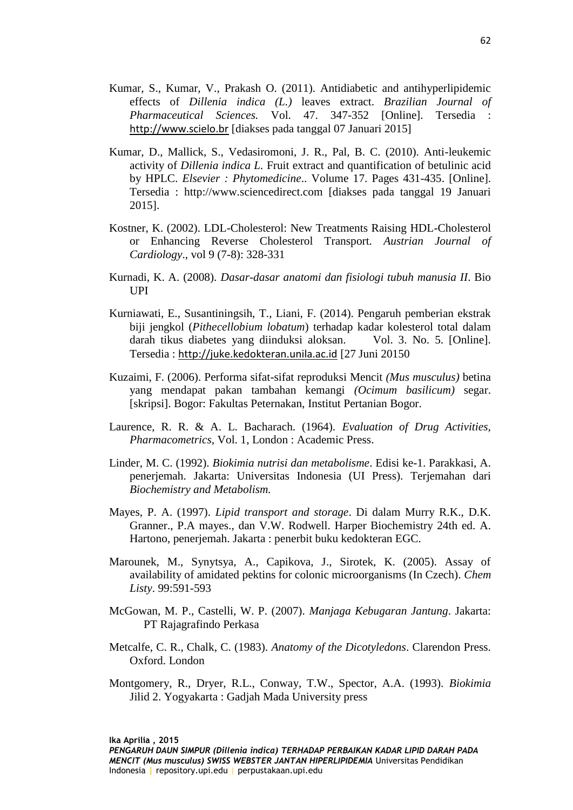Kumar, S., Kumar, V., Prakash O. (2011). Antidiabetic and antihyperlipidemic effects of *Dillenia indica (L.)* leaves extract. *Brazilian Journal of Pharmaceutical Sciences.* Vol. 47. 347-352 [Online]. Tersedia : [http://www.scielo.br](http://www.scielo.br/) [diakses pada tanggal 07 Januari 2015]

62

- Kumar, D., Mallick, S., Vedasiromoni, J. R., Pal, B. C. (2010). Anti-leukemic activity of *Dillenia indica L.* Fruit extract and quantification of betulinic acid by HPLC. *Elsevier : Phytomedicine*.. Volume 17. Pages 431-435. [Online]. Tersedia : http://www.sciencedirect.com [diakses pada tanggal 19 Januari 2015].
- Kostner, K. (2002). LDL-Cholesterol: New Treatments Raising HDL-Cholesterol or Enhancing Reverse Cholesterol Transport*. Austrian Journal of Cardiology*., vol 9 (7-8): 328-331
- Kurnadi, K. A. (2008). *Dasar-dasar anatomi dan fisiologi tubuh manusia II*. Bio UPI
- Kurniawati, E., Susantiningsih, T., Liani, F. (2014). Pengaruh pemberian ekstrak biji jengkol (*Pithecellobium lobatum*) terhadap kadar kolesterol total dalam darah tikus diabetes yang diinduksi aloksan. Vol. 3. No. 5. [Online]. Tersedia : [http://juke.kedokteran.unila.ac.id](http://juke.kedokteran.unila.ac.id/) [27 Juni 20150
- Kuzaimi, F. (2006). Performa sifat-sifat reproduksi Mencit *(Mus musculus)* betina yang mendapat pakan tambahan kemangi *(Ocimum basilicum)* segar. [skripsi]. Bogor: Fakultas Peternakan, Institut Pertanian Bogor.
- Laurence, R. R. & A. L. Bacharach. (1964). *Evaluation of Drug Activities, Pharmacometrics*, Vol. 1, London : Academic Press.
- Linder, M. C. (1992). *Biokimia nutrisi dan metabolisme*. Edisi ke-1. Parakkasi, A. penerjemah. Jakarta: Universitas Indonesia (UI Press). Terjemahan dari *Biochemistry and Metabolism.*
- Mayes, P. A. (1997). *Lipid transport and storage*. Di dalam Murry R.K., D.K. Granner., P.A mayes., dan V.W. Rodwell. Harper Biochemistry 24th ed. A. Hartono, penerjemah. Jakarta : penerbit buku kedokteran EGC.
- Marounek, M., Synytsya, A., Capikova, J., Sirotek, K. (2005). Assay of availability of amidated pektins for colonic microorganisms (In Czech). *Chem Listy*. 99:591-593
- McGowan, M. P., Castelli, W. P. (2007). *Manjaga Kebugaran Jantung*. Jakarta: PT Rajagrafindo Perkasa
- Metcalfe, C. R., Chalk, C. (1983). *Anatomy of the Dicotyledons*. Clarendon Press. Oxford. London
- Montgomery, R., Dryer, R.L., Conway, T.W., Spector, A.A. (1993). *Biokimia* Jilid 2. Yogyakarta : Gadjah Mada University press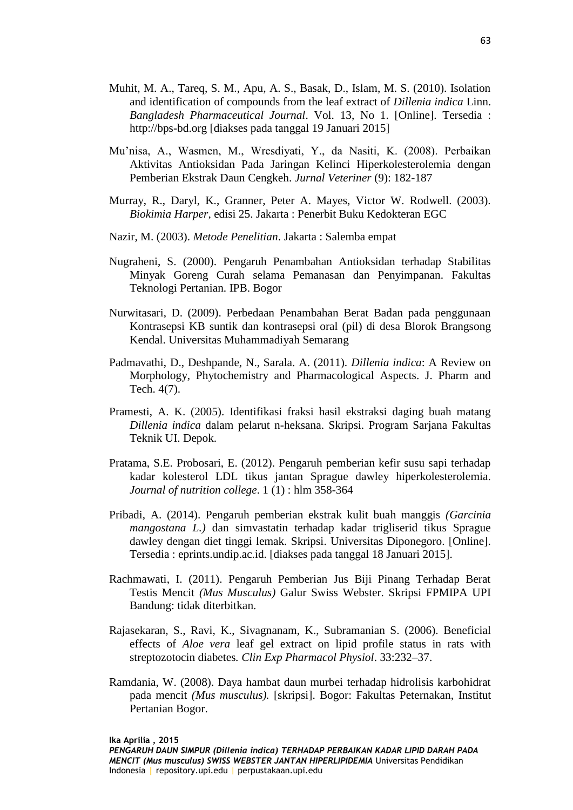- Muhit, M. A., Tareq, S. M., Apu, A. S., Basak, D., Islam, M. S. (2010). Isolation and identification of compounds from the leaf extract of *Dillenia indica* Linn. *Bangladesh Pharmaceutical Journal*. Vol. 13, No 1. [Online]. Tersedia : http://bps-bd.org [diakses pada tanggal 19 Januari 2015]
- Mu'nisa, A., Wasmen, M., Wresdiyati, Y., da Nasiti, K. (2008). Perbaikan Aktivitas Antioksidan Pada Jaringan Kelinci Hiperkolesterolemia dengan Pemberian Ekstrak Daun Cengkeh. *Jurnal Veteriner* (9): 182-187
- Murray, R., Daryl, K., Granner, Peter A. Mayes, Victor W. Rodwell. (2003). *Biokimia Harper*, edisi 25. Jakarta : Penerbit Buku Kedokteran EGC
- Nazir, M. (2003). *Metode Penelitian*. Jakarta : Salemba empat
- Nugraheni, S. (2000). Pengaruh Penambahan Antioksidan terhadap Stabilitas Minyak Goreng Curah selama Pemanasan dan Penyimpanan. Fakultas Teknologi Pertanian. IPB. Bogor
- Nurwitasari, D. (2009). Perbedaan Penambahan Berat Badan pada penggunaan Kontrasepsi KB suntik dan kontrasepsi oral (pil) di desa Blorok Brangsong Kendal. Universitas Muhammadiyah Semarang
- Padmavathi, D., Deshpande, N., Sarala. A. (2011). *Dillenia indica*: A Review on Morphology, Phytochemistry and Pharmacological Aspects. J. Pharm and Tech. 4(7).
- Pramesti, A. K. (2005). Identifikasi fraksi hasil ekstraksi daging buah matang *Dillenia indica* dalam pelarut n-heksana. Skripsi. Program Sarjana Fakultas Teknik UI. Depok.
- Pratama, S.E. Probosari, E. (2012). Pengaruh pemberian kefir susu sapi terhadap kadar kolesterol LDL tikus jantan Sprague dawley hiperkolesterolemia. *Journal of nutrition college*. 1 (1) : hlm 358-364
- Pribadi, A. (2014). Pengaruh pemberian ekstrak kulit buah manggis *(Garcinia mangostana L.)* dan simvastatin terhadap kadar trigliserid tikus Sprague dawley dengan diet tinggi lemak. Skripsi. Universitas Diponegoro. [Online]. Tersedia : eprints.undip.ac.id. [diakses pada tanggal 18 Januari 2015].
- Rachmawati, I. (2011). Pengaruh Pemberian Jus Biji Pinang Terhadap Berat Testis Mencit *(Mus Musculus)* Galur Swiss Webster. Skripsi FPMIPA UPI Bandung: tidak diterbitkan.
- Rajasekaran, S., Ravi, K., Sivagnanam, K., Subramanian S. (2006). Beneficial effects of *Aloe vera* leaf gel extract on lipid profile status in rats with streptozotocin diabetes*. Clin Exp Pharmacol Physiol*. 33:232–37.
- Ramdania, W. (2008). Daya hambat daun murbei terhadap hidrolisis karbohidrat pada mencit *(Mus musculus).* [skripsi]. Bogor: Fakultas Peternakan, Institut Pertanian Bogor.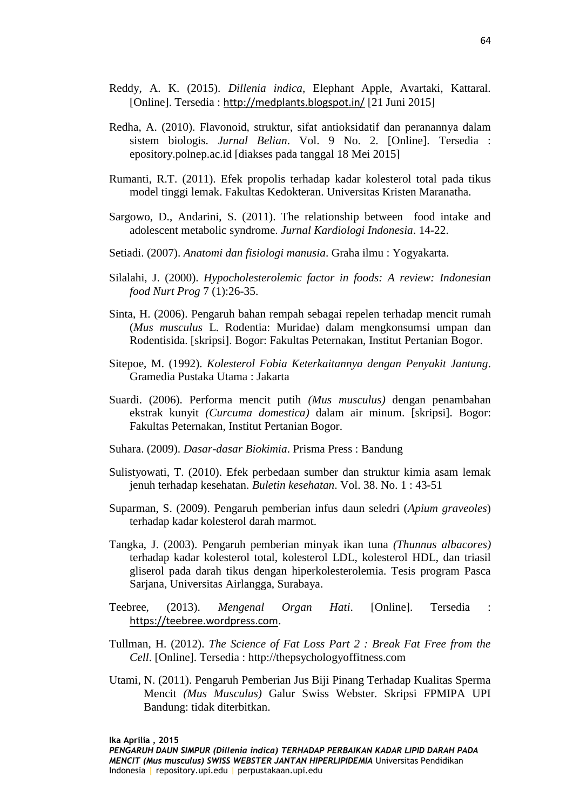- Reddy, A. K. (2015). *Dillenia indica*, Elephant Apple, Avartaki, Kattaral. [Online]. Tersedia : <http://medplants.blogspot.in/> [21 Juni 2015]
- Redha, A. (2010). Flavonoid, struktur, sifat antioksidatif dan peranannya dalam sistem biologis. *Jurnal Belian*. Vol. 9 No. 2. [Online]. Tersedia : epository.polnep.ac.id [diakses pada tanggal 18 Mei 2015]
- Rumanti, R.T. (2011). Efek propolis terhadap kadar kolesterol total pada tikus model tinggi lemak. Fakultas Kedokteran. Universitas Kristen Maranatha.
- Sargowo, D., Andarini, S. (2011). The relationship between food intake and adolescent metabolic syndrome. *Jurnal Kardiologi Indonesia*. 14-22.
- Setiadi. (2007). *Anatomi dan fisiologi manusia*. Graha ilmu : Yogyakarta.
- Silalahi, J. (2000). *Hypocholesterolemic factor in foods: A review: Indonesian food Nurt Prog* 7 (1):26-35.
- Sinta, H. (2006). Pengaruh bahan rempah sebagai repelen terhadap mencit rumah (*Mus musculus* L. Rodentia: Muridae) dalam mengkonsumsi umpan dan Rodentisida. [skripsi]. Bogor: Fakultas Peternakan, Institut Pertanian Bogor.
- Sitepoe, M. (1992). *Kolesterol Fobia Keterkaitannya dengan Penyakit Jantung*. Gramedia Pustaka Utama : Jakarta
- Suardi. (2006). Performa mencit putih *(Mus musculus)* dengan penambahan ekstrak kunyit *(Curcuma domestica)* dalam air minum. [skripsi]. Bogor: Fakultas Peternakan, Institut Pertanian Bogor.
- Suhara. (2009). *Dasar-dasar Biokimia*. Prisma Press : Bandung
- Sulistyowati, T. (2010). Efek perbedaan sumber dan struktur kimia asam lemak jenuh terhadap kesehatan. *Buletin kesehatan*. Vol. 38. No. 1 : 43-51
- Suparman, S. (2009). Pengaruh pemberian infus daun seledri (*Apium graveoles*) terhadap kadar kolesterol darah marmot.
- Tangka, J. (2003). Pengaruh pemberian minyak ikan tuna *(Thunnus albacores)*  terhadap kadar kolesterol total, kolesterol LDL, kolesterol HDL, dan triasil gliserol pada darah tikus dengan hiperkolesterolemia. Tesis program Pasca Sariana, Universitas Airlangga, Surabaya.
- Teebree, (2013). *Mengenal Organ Hati*. [Online]. Tersedia : [https://teebree.wordpress.com](https://teebree.wordpress.com/).
- Tullman, H. (2012). *The Science of Fat Loss Part 2 : Break Fat Free from the Cell*. [Online]. Tersedia : http://thepsychologyoffitness.com
- Utami, N. (2011). Pengaruh Pemberian Jus Biji Pinang Terhadap Kualitas Sperma Mencit *(Mus Musculus)* Galur Swiss Webster. Skripsi FPMIPA UPI Bandung: tidak diterbitkan.